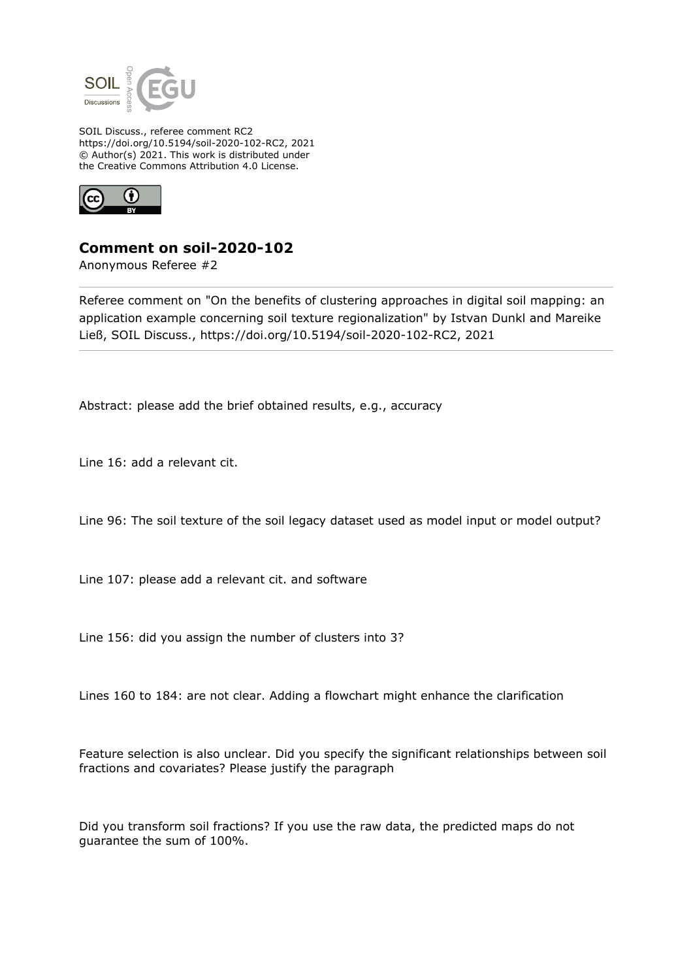

SOIL Discuss., referee comment RC2 https://doi.org/10.5194/soil-2020-102-RC2, 2021 © Author(s) 2021. This work is distributed under the Creative Commons Attribution 4.0 License.



**Comment on soil-2020-102**

Anonymous Referee #2

Referee comment on "On the benefits of clustering approaches in digital soil mapping: an application example concerning soil texture regionalization" by Istvan Dunkl and Mareike Ließ, SOIL Discuss., https://doi.org/10.5194/soil-2020-102-RC2, 2021

Abstract: please add the brief obtained results, e.g., accuracy

Line 16: add a relevant cit.

Line 96: The soil texture of the soil legacy dataset used as model input or model output?

Line 107: please add a relevant cit. and software

Line 156: did you assign the number of clusters into 3?

Lines 160 to 184: are not clear. Adding a flowchart might enhance the clarification

Feature selection is also unclear. Did you specify the significant relationships between soil fractions and covariates? Please justify the paragraph

Did you transform soil fractions? If you use the raw data, the predicted maps do not guarantee the sum of 100%.